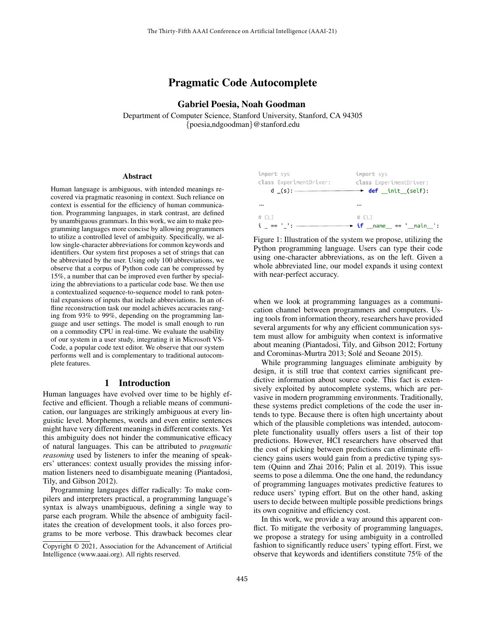# Pragmatic Code Autocomplete

## Gabriel Poesia, Noah Goodman

Department of Computer Science, Stanford University, Stanford, CA 94305 {poesia,ndgoodman}@stanford.edu

#### Abstract

Human language is ambiguous, with intended meanings recovered via pragmatic reasoning in context. Such reliance on context is essential for the efficiency of human communication. Programming languages, in stark contrast, are defined by unambiguous grammars. In this work, we aim to make programming languages more concise by allowing programmers to utilize a controlled level of ambiguity. Specifically, we allow single-character abbreviations for common keywords and identifiers. Our system first proposes a set of strings that can be abbreviated by the user. Using only 100 abbreviations, we observe that a corpus of Python code can be compressed by 15%, a number that can be improved even further by specializing the abbreviations to a particular code base. We then use a contextualized sequence-to-sequence model to rank potential expansions of inputs that include abbreviations. In an offline reconstruction task our model achieves accuracies ranging from 93% to 99%, depending on the programming language and user settings. The model is small enough to run on a commodity CPU in real-time. We evaluate the usability of our system in a user study, integrating it in Microsoft VS-Code, a popular code text editor. We observe that our system performs well and is complementary to traditional autocomplete features.

### 1 Introduction

Human languages have evolved over time to be highly effective and efficient. Though a reliable means of communication, our languages are strikingly ambiguous at every linguistic level. Morphemes, words and even entire sentences might have very different meanings in different contexts. Yet this ambiguity does not hinder the communicative efficacy of natural languages. This can be attributed to *pragmatic reasoning* used by listeners to infer the meaning of speakers' utterances: context usually provides the missing information listeners need to disambiguate meaning (Piantadosi, Tily, and Gibson 2012).

Programming languages differ radically: To make compilers and interpreters practical, a programming language's syntax is always unambiguous, defining a single way to parse each program. While the absence of ambiguity facilitates the creation of development tools, it also forces programs to be more verbose. This drawback becomes clear



Figure 1: Illustration of the system we propose, utilizing the Python programming language. Users can type their code using one-character abbreviations, as on the left. Given a whole abbreviated line, our model expands it using context with near-perfect accuracy.

when we look at programming languages as a communication channel between programmers and computers. Using tools from information theory, researchers have provided several arguments for why any efficient communication system must allow for ambiguity when context is informative about meaning (Piantadosi, Tily, and Gibson 2012; Fortuny and Corominas-Murtra 2013; Solé and Seoane 2015).

While programming languages eliminate ambiguity by design, it is still true that context carries significant predictive information about source code. This fact is extensively exploited by autocomplete systems, which are pervasive in modern programming environments. Traditionally, these systems predict completions of the code the user intends to type. Because there is often high uncertainty about which of the plausible completions was intended, autocomplete functionality usually offers users a list of their top predictions. However, HCI researchers have observed that the cost of picking between predictions can eliminate efficiency gains users would gain from a predictive typing system (Quinn and Zhai 2016; Palin et al. 2019). This issue seems to pose a dilemma. One the one hand, the redundancy of programming languages motivates predictive features to reduce users' typing effort. But on the other hand, asking users to decide between multiple possible predictions brings its own cognitive and efficiency cost.

In this work, we provide a way around this apparent conflict. To mitigate the verbosity of programming languages, we propose a strategy for using ambiguity in a controlled fashion to significantly reduce users' typing effort. First, we observe that keywords and identifiers constitute 75% of the

Copyright © 2021, Association for the Advancement of Artificial Intelligence (www.aaai.org). All rights reserved.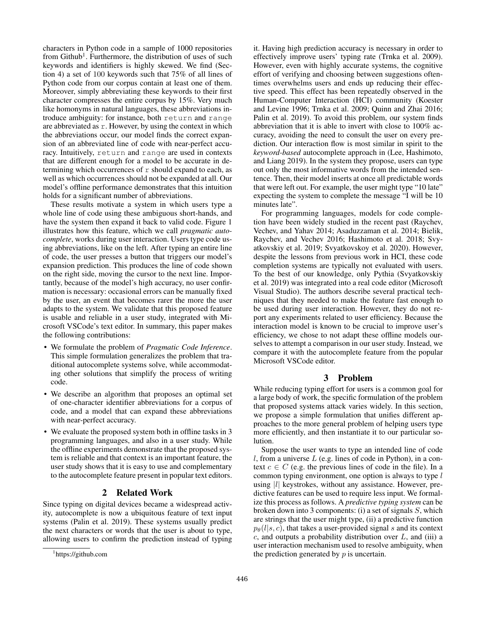characters in Python code in a sample of 1000 repositories from Github<sup>1</sup>. Furthermore, the distribution of uses of such keywords and identifiers is highly skewed. We find (Section 4) a set of 100 keywords such that 75% of all lines of Python code from our corpus contain at least one of them. Moreover, simply abbreviating these keywords to their first character compresses the entire corpus by 15%. Very much like homonyms in natural languages, these abbreviations introduce ambiguity: for instance, both return and range are abbreviated as  $r$ . However, by using the context in which the abbreviations occur, our model finds the correct expansion of an abbreviated line of code with near-perfect accuracy. Intuitively, return and range are used in contexts that are different enough for a model to be accurate in determining which occurrences of  $r$  should expand to each, as well as which occurrences should not be expanded at all. Our model's offline performance demonstrates that this intuition holds for a significant number of abbreviations.

These results motivate a system in which users type a whole line of code using these ambiguous short-hands, and have the system then expand it back to valid code. Figure 1 illustrates how this feature, which we call *pragmatic autocomplete*, works during user interaction. Users type code using abbreviations, like on the left. After typing an entire line of code, the user presses a button that triggers our model's expansion prediction. This produces the line of code shown on the right side, moving the cursor to the next line. Importantly, because of the model's high accuracy, no user confirmation is necessary: occasional errors can be manually fixed by the user, an event that becomes rarer the more the user adapts to the system. We validate that this proposed feature is usable and reliable in a user study, integrated with Microsoft VSCode's text editor. In summary, this paper makes the following contributions:

- We formulate the problem of *Pragmatic Code Inference*. This simple formulation generalizes the problem that traditional autocomplete systems solve, while accommodating other solutions that simplify the process of writing code.
- We describe an algorithm that proposes an optimal set of one-character identifier abbreviations for a corpus of code, and a model that can expand these abbreviations with near-perfect accuracy.
- We evaluate the proposed system both in offline tasks in 3 programming languages, and also in a user study. While the offline experiments demonstrate that the proposed system is reliable and that context is an important feature, the user study shows that it is easy to use and complementary to the autocomplete feature present in popular text editors.

## 2 Related Work

Since typing on digital devices became a widespread activity, autocomplete is now a ubiquitous feature of text input systems (Palin et al. 2019). These systems usually predict the next characters or words that the user is about to type, allowing users to confirm the prediction instead of typing it. Having high prediction accuracy is necessary in order to effectively improve users' typing rate (Trnka et al. 2009). However, even with highly accurate systems, the cognitive effort of verifying and choosing between suggestions oftentimes overwhelms users and ends up reducing their effective speed. This effect has been repeatedly observed in the Human-Computer Interaction (HCI) community (Koester and Levine 1996; Trnka et al. 2009; Quinn and Zhai 2016; Palin et al. 2019). To avoid this problem, our system finds abbreviation that it is able to invert with close to 100% accuracy, avoiding the need to consult the user on every prediction. Our interaction flow is most similar in spirit to the *keyword-based* autocomplete approach in (Lee, Hashimoto, and Liang 2019). In the system they propose, users can type out only the most informative words from the intended sentence. Then, their model inserts at once all predictable words that were left out. For example, the user might type "10 late" expecting the system to complete the message "I will be 10 minutes late".

For programming languages, models for code completion have been widely studied in the recent past (Raychev, Vechev, and Yahav 2014; Asaduzzaman et al. 2014; Bielik, Raychev, and Vechev 2016; Hashimoto et al. 2018; Svyatkovskiy et al. 2019; Svyatkovskoy et al. 2020). However, despite the lessons from previous work in HCI, these code completion systems are typically not evaluated with users. To the best of our knowledge, only Pythia (Svyatkovskiy et al. 2019) was integrated into a real code editor (Microsoft Visual Studio). The authors describe several practical techniques that they needed to make the feature fast enough to be used during user interaction. However, they do not report any experiments related to user efficiency. Because the interaction model is known to be crucial to improve user's efficiency, we chose to not adapt these offline models ourselves to attempt a comparison in our user study. Instead, we compare it with the autocomplete feature from the popular Microsoft VSCode editor.

## 3 Problem

While reducing typing effort for users is a common goal for a large body of work, the specific formulation of the problem that proposed systems attack varies widely. In this section, we propose a simple formulation that unifies different approaches to the more general problem of helping users type more efficiently, and then instantiate it to our particular solution.

Suppose the user wants to type an intended line of code l, from a universe  $L$  (e.g. lines of code in Python), in a context  $c \in C$  (e.g. the previous lines of code in the file). In a common typing environment, one option is always to type  $l$ using  $|l|$  keystrokes, without any assistance. However, predictive features can be used to require less input. We formalize this process as follows. A *predictive typing system* can be broken down into 3 components: (i) a set of signals  $S$ , which are strings that the user might type, (ii) a predictive function  $p_{\theta}(l|s, c)$ , that takes a user-provided signal s and its context  $c$ , and outputs a probability distribution over  $L$ , and (iii) a user interaction mechanism used to resolve ambiguity, when the prediction generated by  $p$  is uncertain.

<sup>1</sup> https://github.com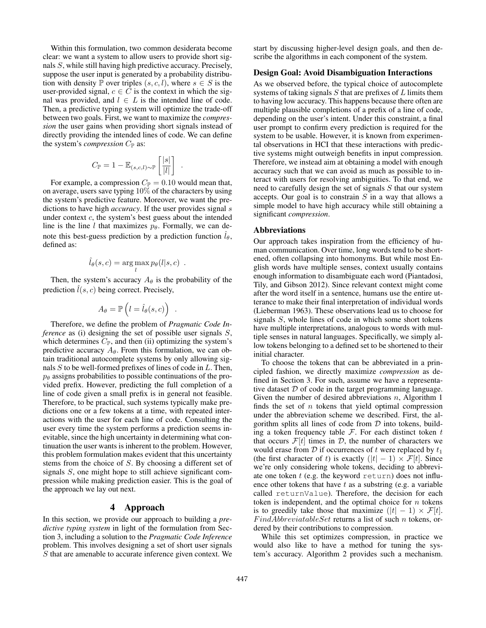Within this formulation, two common desiderata become clear: we want a system to allow users to provide short signals S, while still having high predictive accuracy. Precisely, suppose the user input is generated by a probability distribution with density P over triples  $(s, c, l)$ , where  $s \in S$  is the user-provided signal,  $c \in C$  is the context in which the signal was provided, and  $l \in L$  is the intended line of code. Then, a predictive typing system will optimize the trade-off between two goals. First, we want to maximize the *compression* the user gains when providing short signals instead of directly providing the intended lines of code. We can define the system's *compression*  $C_{\mathbb{P}}$  as:

$$
C_{\mathbb{P}} = 1 - \mathbb{E}_{(s,c,l)\sim \mathbb{P}}\left[\frac{|s|}{|l|}\right]
$$

.

.

For example, a compression  $C_{\mathbb{P}} = 0.10$  would mean that, on average, users save typing 10% of the characters by using the system's predictive feature. Moreover, we want the predictions to have high *accuracy*. If the user provides signal s under context  $c$ , the system's best guess about the intended line is the line *l* that maximizes  $p_{\theta}$ . Formally, we can denote this best-guess prediction by a prediction function  $\hat{l}_{\theta}$ , defined as:

$$
\hat{l}_{\theta}(s,c) = \arg \max_{l} p_{\theta}(l|s,c) .
$$

Then, the system's accuracy  $A_{\theta}$  is the probability of the prediction  $\hat{l}(s, c)$  being correct. Precisely,

$$
A_\theta = \mathbb{P}\left(l = \hat{l}_\theta(s,c)\right)
$$

Therefore, we define the problem of *Pragmatic Code Inference* as (i) designing the set of possible user signals S, which determines  $C_{\mathbb{P}}$ , and then (ii) optimizing the system's predictive accuracy  $A_{\theta}$ . From this formulation, we can obtain traditional autocomplete systems by only allowing signals S to be well-formed prefixes of lines of code in L. Then,  $p_{\theta}$  assigns probabilities to possible continuations of the provided prefix. However, predicting the full completion of a line of code given a small prefix is in general not feasible. Therefore, to be practical, such systems typically make predictions one or a few tokens at a time, with repeated interactions with the user for each line of code. Consulting the user every time the system performs a prediction seems inevitable, since the high uncertainty in determining what continuation the user wants is inherent to the problem. However, this problem formulation makes evident that this uncertainty stems from the choice of S. By choosing a different set of signals S, one might hope to still achieve significant compression while making prediction easier. This is the goal of the approach we lay out next.

## 4 Approach

In this section, we provide our approach to building a *predictive typing system* in light of the formulation from Section 3, including a solution to the *Pragmatic Code Inference* problem. This involves designing a set of short user signals S that are amenable to accurate inference given context. We

start by discussing higher-level design goals, and then describe the algorithms in each component of the system.

#### Design Goal: Avoid Disambiguation Interactions

As we observed before, the typical choice of autocomplete systems of taking signals  $S$  that are prefixes of  $L$  limits them to having low accuracy. This happens because there often are multiple plausible completions of a prefix of a line of code, depending on the user's intent. Under this constraint, a final user prompt to confirm every prediction is required for the system to be usable. However, it is known from experimental observations in HCI that these interactions with predictive systems might outweigh benefits in input compression. Therefore, we instead aim at obtaining a model with enough accuracy such that we can avoid as much as possible to interact with users for resolving ambiguities. To that end, we need to carefully design the set of signals  $S$  that our system accepts. Our goal is to constrain  $S$  in a way that allows a simple model to have high accuracy while still obtaining a significant *compression*.

### Abbreviations

Our approach takes inspiration from the efficiency of human communication. Over time, long words tend to be shortened, often collapsing into homonyms. But while most English words have multiple senses, context usually contains enough information to disambiguate each word (Piantadosi, Tily, and Gibson 2012). Since relevant context might come after the word itself in a sentence, humans use the entire utterance to make their final interpretation of individual words (Lieberman 1963). These observations lead us to choose for signals S, whole lines of code in which some short tokens have multiple interpretations, analogous to words with multiple senses in natural languages. Specifically, we simply allow tokens belonging to a defined set to be shortened to their initial character.

To choose the tokens that can be abbreviated in a principled fashion, we directly maximize *compression* as defined in Section 3. For such, assume we have a representative dataset  $D$  of code in the target programming language. Given the number of desired abbreviations  $n$ , Algorithm 1 finds the set of  $n$  tokens that yield optimal compression under the abbreviation scheme we described. First, the algorithm splits all lines of code from  $D$  into tokens, building a token frequency table  $\mathcal F$ . For each distinct token  $t$ that occurs  $\mathcal{F}[t]$  times in  $\mathcal{D}$ , the number of characters we would erase from  $D$  if occurrences of t were replaced by  $t_1$ (the first character of t) is exactly  $(|t| - 1) \times \mathcal{F}[t]$ . Since we're only considering whole tokens, deciding to abbreviate one token  $t$  (e.g. the keyword return) does not influence other tokens that have  $t$  as a substring (e.g. a variable called returnValue). Therefore, the decision for each token is independent, and the optimal choice for  $n$  tokens is to greedily take those that maximize  $(|t| - 1) \times \mathcal{F}[t]$ .  $FindAbbreviatableSet$  returns a list of such *n* tokens, ordered by their contributions to compression.

While this set optimizes compression, in practice we would also like to have a method for tuning the system's accuracy. Algorithm 2 provides such a mechanism.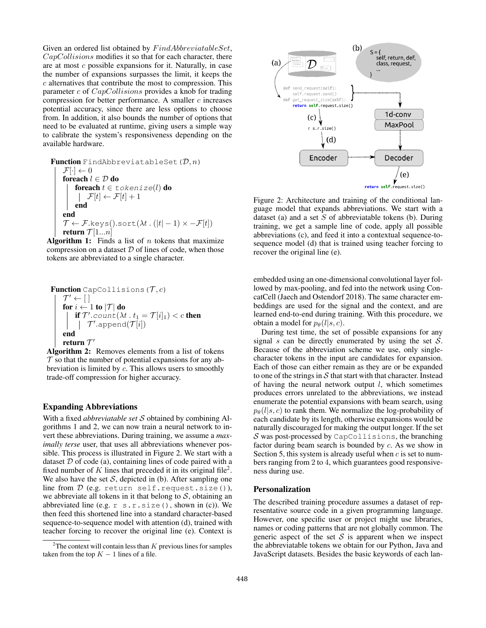Given an ordered list obtained by  $FindAbbreviatableSet$ , CapCollisions modifies it so that for each character, there are at most c possible expansions for it. Naturally, in case the number of expansions surpasses the limit, it keeps the c alternatives that contribute the most to compression. This parameter  $c$  of  $CapCollisions$  provides a knob for trading compression for better performance. A smaller  $c$  increases potential accuracy, since there are less options to choose from. In addition, it also bounds the number of options that need to be evaluated at runtime, giving users a simple way to calibrate the system's responsiveness depending on the available hardware.

**Function** FindAbbreviatableSet 
$$
(D, n)
$$
  
\n
$$
\begin{array}{l}\n\mathcal{F}[\cdot] \leftarrow 0 \\
\text{for each } l \in \mathcal{D} \text{ do} \\
\hspace{2.5cm} \begin{array}{r}\n\text{for each } t \in \text{tokenize}(l) \text{ do} \\
\hspace{2.5cm} |\mathcal{F}[t] \leftarrow \mathcal{F}[t] + 1 \\
\hspace{2.5cm} \text{end} \\
\text{end} \\
\mathcal{T} \leftarrow \mathcal{F}.\text{keys}().sort(\lambda t \cdot (|t| - 1) \times -\mathcal{F}[t]) \\
\text{return } \mathcal{T}[1...n]\n\end{array}
$$

**Algorithm 1:** Finds a list of n tokens that maximize compression on a dataset  $D$  of lines of code, when those tokens are abbreviated to a single character.

| Function CapCollisions (T, c)                                                                                                                                                            |
|------------------------------------------------------------------------------------------------------------------------------------------------------------------------------------------|
| $\mathcal{T}' \leftarrow []$                                                                                                                                                             |
| $\text{for } i \leftarrow 1 \text{ to }  \mathcal{T}  \text{ do}$                                                                                                                        |
| $\begin{array}{c}\n \text{if } \mathcal{T}' \text{.count}(\lambda t \cdot t_1 = \mathcal{T}[i]_1) < c \text{ then} \\  \mid & \mathcal{T}' \text{.append}(\mathcal{T}[i])\n \end{array}$ |
| $\text{end}$                                                                                                                                                                             |
| $\text{return } \mathcal{T}'$                                                                                                                                                            |

Algorithm 2: Removes elements from a list of tokens  $\mathcal T$  so that the number of potential expansions for any abbreviation is limited by  $c$ . This allows users to smoothly trade-off compression for higher accuracy.

### Expanding Abbreviations

With a fixed *abbreviatable set* S obtained by combining Algorithms 1 and 2, we can now train a neural network to invert these abbreviations. During training, we assume a *maximally terse* user, that uses all abbreviations whenever possible. This process is illustrated in Figure 2. We start with a dataset  $D$  of code (a), containing lines of code paired with a fixed number of K lines that preceded it in its original file<sup>2</sup>. We also have the set  $S$ , depicted in (b). After sampling one line from  $D$  (e.g. return self.request.size()), we abbreviate all tokens in it that belong to  $S$ , obtaining an abbreviated line (e.g.  $r$  s.r.size(), shown in (c)). We then feed this shortened line into a standard character-based sequence-to-sequence model with attention (d), trained with teacher forcing to recover the original line (e). Context is



Figure 2: Architecture and training of the conditional language model that expands abbreviations. We start with a dataset (a) and a set  $S$  of abbreviatable tokens (b). During training, we get a sample line of code, apply all possible abbreviations (c), and feed it into a contextual sequence-tosequence model (d) that is trained using teacher forcing to recover the original line (e).

embedded using an one-dimensional convolutional layer followed by max-pooling, and fed into the network using ConcatCell (Jaech and Ostendorf 2018). The same character embeddings are used for the signal and the context, and are learned end-to-end during training. With this procedure, we obtain a model for  $p_{\theta}(l|s, c)$ .

During test time, the set of possible expansions for any signal s can be directly enumerated by using the set  $S$ . Because of the abbreviation scheme we use, only singlecharacter tokens in the input are candidates for expansion. Each of those can either remain as they are or be expanded to one of the strings in  $S$  that start with that character. Instead of having the neural network output  $l$ , which sometimes produces errors unrelated to the abbreviations, we instead enumerate the potential expansions with beam search, using  $p_{\theta}(l|s, c)$  to rank them. We normalize the log-probability of each candidate by its length, otherwise expansions would be naturally discouraged for making the output longer. If the set  $S$  was post-processed by CapCollisions, the branching factor during beam search is bounded by c. As we show in Section 5, this system is already useful when  $c$  is set to numbers ranging from 2 to 4, which guarantees good responsiveness during use.

### Personalization

The described training procedure assumes a dataset of representative source code in a given programming language. However, one specific user or project might use libraries, names or coding patterns that are not globally common. The generic aspect of the set  $S$  is apparent when we inspect the abbreviatable tokens we obtain for our Python, Java and JavaScript datasets. Besides the basic keywords of each lan-

<sup>&</sup>lt;sup>2</sup>The context will contain less than  $K$  previous lines for samples taken from the top  $K - 1$  lines of a file.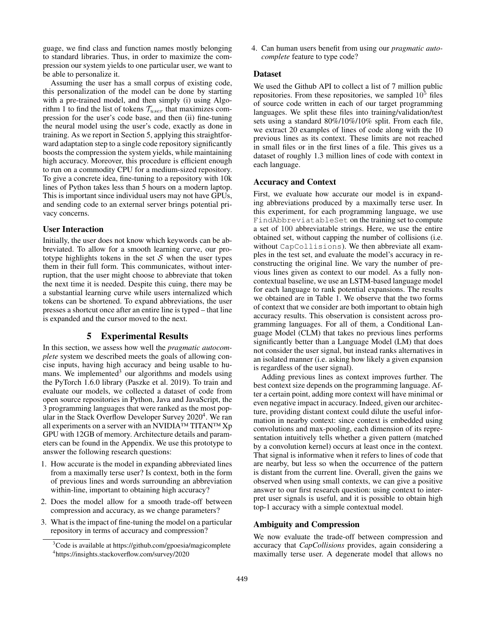guage, we find class and function names mostly belonging to standard libraries. Thus, in order to maximize the compression our system yields to one particular user, we want to be able to personalize it.

Assuming the user has a small corpus of existing code, this personalization of the model can be done by starting with a pre-trained model, and then simply (i) using Algorithm 1 to find the list of tokens  $\mathcal{T}_{user}$  that maximizes compression for the user's code base, and then (ii) fine-tuning the neural model using the user's code, exactly as done in training. As we report in Section 5, applying this straightforward adaptation step to a single code repository significantly boosts the compression the system yields, while maintaining high accuracy. Moreover, this procedure is efficient enough to run on a commodity CPU for a medium-sized repository. To give a concrete idea, fine-tuning to a repository with 10k lines of Python takes less than 5 hours on a modern laptop. This is important since individual users may not have GPUs, and sending code to an external server brings potential privacy concerns.

### User Interaction

Initially, the user does not know which keywords can be abbreviated. To allow for a smooth learning curve, our prototype highlights tokens in the set  $S$  when the user types them in their full form. This communicates, without interruption, that the user might choose to abbreviate that token the next time it is needed. Despite this cuing, there may be a substantial learning curve while users internalized which tokens can be shortened. To expand abbreviations, the user presses a shortcut once after an entire line is typed – that line is expanded and the cursor moved to the next.

### 5 Experimental Results

In this section, we assess how well the *pragmatic autocomplete* system we described meets the goals of allowing concise inputs, having high accuracy and being usable to humans. We implemented<sup>3</sup> our algorithms and models using the PyTorch 1.6.0 library (Paszke et al. 2019). To train and evaluate our models, we collected a dataset of code from open source repositories in Python, Java and JavaScript, the 3 programming languages that were ranked as the most popular in the Stack Overflow Developer Survey 2020<sup>4</sup> . We ran all experiments on a server with an NVIDIA™ TITAN™ Xp GPU with 12GB of memory. Architecture details and parameters can be found in the Appendix. We use this prototype to answer the following research questions:

- 1. How accurate is the model in expanding abbreviated lines from a maximally terse user? Is context, both in the form of previous lines and words surrounding an abbreviation within-line, important to obtaining high accuracy?
- 2. Does the model allow for a smooth trade-off between compression and accuracy, as we change parameters?
- 3. What is the impact of fine-tuning the model on a particular repository in terms of accuracy and compression?

4. Can human users benefit from using our *pragmatic autocomplete* feature to type code?

## Dataset

We used the Github API to collect a list of 7 million public repositories. From these repositories, we sampled  $10<sup>5</sup>$  files of source code written in each of our target programming languages. We split these files into training/validation/test sets using a standard 80%/10%/10% split. From each file, we extract 20 examples of lines of code along with the 10 previous lines as its context. These limits are not reached in small files or in the first lines of a file. This gives us a dataset of roughly 1.3 million lines of code with context in each language.

## Accuracy and Context

First, we evaluate how accurate our model is in expanding abbreviations produced by a maximally terse user. In this experiment, for each programming language, we use FindAbbreviatableSet on the training set to compute a set of 100 abbreviatable strings. Here, we use the entire obtained set, without capping the number of collisions (i.e. without CapCollisions). We then abbreviate all examples in the test set, and evaluate the model's accuracy in reconstructing the original line. We vary the number of previous lines given as context to our model. As a fully noncontextual baseline, we use an LSTM-based language model for each language to rank potential expansions. The results we obtained are in Table 1. We observe that the two forms of context that we consider are both important to obtain high accuracy results. This observation is consistent across programming languages. For all of them, a Conditional Language Model (CLM) that takes no previous lines performs significantly better than a Language Model (LM) that does not consider the user signal, but instead ranks alternatives in an isolated manner (i.e. asking how likely a given expansion is regardless of the user signal).

Adding previous lines as context improves further. The best context size depends on the programming language. After a certain point, adding more context will have minimal or even negative impact in accuracy. Indeed, given our architecture, providing distant context could dilute the useful information in nearby context: since context is embedded using convolutions and max-pooling, each dimension of its representation intuitively tells whether a given pattern (matched by a convolution kernel) occurs at least once in the context. That signal is informative when it refers to lines of code that are nearby, but less so when the occurrence of the pattern is distant from the current line. Overall, given the gains we observed when using small contexts, we can give a positive answer to our first research question: using context to interpret user signals is useful, and it is possible to obtain high top-1 accuracy with a simple contextual model.

#### Ambiguity and Compression

We now evaluate the trade-off between compression and accuracy that *CapCollisions* provides, again considering a maximally terse user. A degenerate model that allows no

<sup>&</sup>lt;sup>3</sup>Code is available at https://github.com/gpoesia/magicomplete 4 https://insights.stackoverflow.com/survey/2020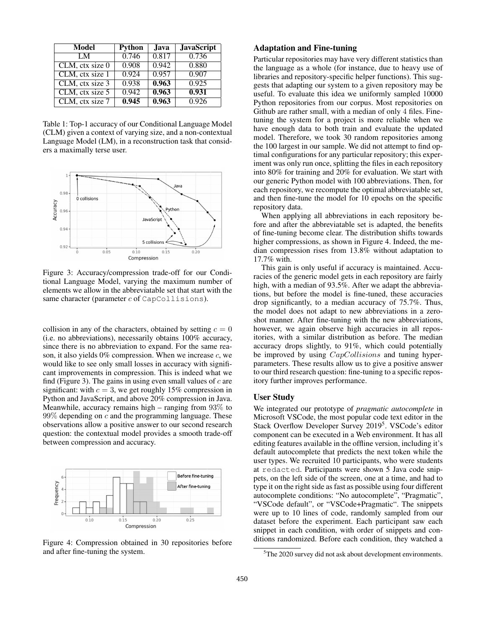| Model           | Python | Java. | <b>JavaScript</b> |
|-----------------|--------|-------|-------------------|
| LM.             | 0.746  | 0.817 | 0.736             |
| CLM, ctx size 0 | 0.908  | 0.942 | 0.880             |
| CLM, ctx size 1 | 0.924  | 0.957 | 0.907             |
| CLM, ctx size 3 | 0.938  | 0.963 | 0.925             |
| CLM, ctx size 5 | 0.942  | 0.963 | 0.931             |
| CLM, ctx size 7 | 0.945  | 0.963 | 0.926             |

Table 1: Top-1 accuracy of our Conditional Language Model (CLM) given a context of varying size, and a non-contextual Language Model (LM), in a reconstruction task that considers a maximally terse user.



Figure 3: Accuracy/compression trade-off for our Conditional Language Model, varying the maximum number of elements we allow in the abbreviatable set that start with the same character (parameter  $c$  of CapCollisions).

collision in any of the characters, obtained by setting  $c = 0$ (i.e. no abbreviations), necessarily obtains 100% accuracy, since there is no abbreviation to expand. For the same reason, it also yields  $0\%$  compression. When we increase  $c$ , we would like to see only small losses in accuracy with significant improvements in compression. This is indeed what we find (Figure 3). The gains in using even small values of  $c$  are significant: with  $c = 3$ , we get roughly 15% compression in Python and JavaScript, and above 20% compression in Java. Meanwhile, accuracy remains high – ranging from  $93\%$  to  $99\%$  depending on c and the programming language. These observations allow a positive answer to our second research question: the contextual model provides a smooth trade-off between compression and accuracy.



Figure 4: Compression obtained in 30 repositories before and after fine-tuning the system.

## Adaptation and Fine-tuning

Particular repositories may have very different statistics than the language as a whole (for instance, due to heavy use of libraries and repository-specific helper functions). This suggests that adapting our system to a given repository may be useful. To evaluate this idea we uniformly sampled 10000 Python repositories from our corpus. Most repositories on Github are rather small, with a median of only 4 files. Finetuning the system for a project is more reliable when we have enough data to both train and evaluate the updated model. Therefore, we took 30 random repositories among the 100 largest in our sample. We did not attempt to find optimal configurations for any particular repository; this experiment was only run once, splitting the files in each repository into 80% for training and 20% for evaluation. We start with our generic Python model with 100 abbreviations. Then, for each repository, we recompute the optimal abbreviatable set, and then fine-tune the model for 10 epochs on the specific repository data.

When applying all abbreviations in each repository before and after the abbreviatable set is adapted, the benefits of fine-tuning become clear. The distribution shifts towards higher compressions, as shown in Figure 4. Indeed, the median compression rises from 13.8% without adaptation to 17.7% with.

This gain is only useful if accuracy is maintained. Accuracies of the generic model gets in each repository are fairly high, with a median of 93.5%. After we adapt the abbreviations, but before the model is fine-tuned, these accuracies drop significantly, to a median accuracy of 75.7%. Thus, the model does not adapt to new abbreviations in a zeroshot manner. After fine-tuning with the new abbreviations, however, we again observe high accuracies in all repositories, with a similar distribution as before. The median accuracy drops slightly, to 91%, which could potentially be improved by using *CapCollisions* and tuning hyperparameters. These results allow us to give a positive answer to our third research question: fine-tuning to a specific repository further improves performance.

### User Study

We integrated our prototype of *pragmatic autocomplete* in Microsoft VSCode, the most popular code text editor in the Stack Overflow Developer Survey 2019<sup>5</sup>. VSCode's editor component can be executed in a Web environment. It has all editing features available in the offline version, including it's default autocomplete that predicts the next token while the user types. We recruited 10 participants, who were students at redacted. Participants were shown 5 Java code snippets, on the left side of the screen, one at a time, and had to type it on the right side as fast as possible using four different autocomplete conditions: "No autocomplete", "Pragmatic", "VSCode default", or "VSCode+Pragmatic". The snippets were up to 10 lines of code, randomly sampled from our dataset before the experiment. Each participant saw each snippet in each condition, with order of snippets and conditions randomized. Before each condition, they watched a

<sup>5</sup>The 2020 survey did not ask about development environments.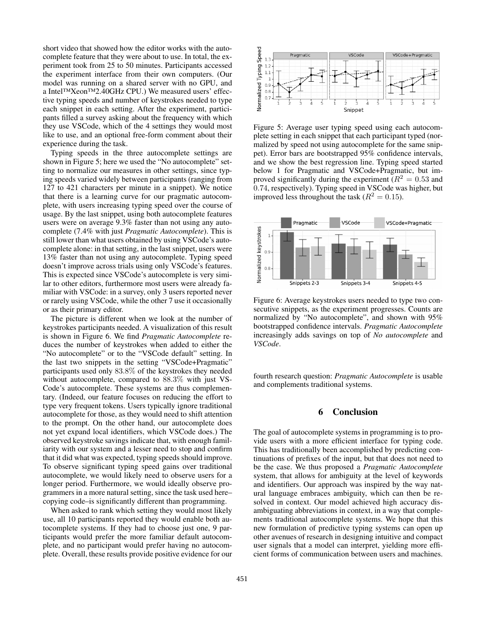short video that showed how the editor works with the autocomplete feature that they were about to use. In total, the experiment took from 25 to 50 minutes. Participants accessed the experiment interface from their own computers. (Our model was running on a shared server with no GPU, and a Intel™Xeon™2.40GHz CPU.) We measured users' effective typing speeds and number of keystrokes needed to type each snippet in each setting. After the experiment, participants filled a survey asking about the frequency with which they use VSCode, which of the 4 settings they would most like to use, and an optional free-form comment about their experience during the task.

Typing speeds in the three autocomplete settings are shown in Figure 5; here we used the "No autocomplete" setting to normalize our measures in other settings, since typing speeds varied widely between participants (ranging from 127 to 421 characters per minute in a snippet). We notice that there is a learning curve for our pragmatic autocomplete, with users increasing typing speed over the course of usage. By the last snippet, using both autocomplete features users were on average 9.3% faster than not using any autocomplete (7.4% with just *Pragmatic Autocomplete*). This is still lower than what users obtained by using VSCode's autocomplete alone: in that setting, in the last snippet, users were 13% faster than not using any autocomplete. Typing speed doesn't improve across trials using only VSCode's features. This is expected since VSCode's autocomplete is very similar to other editors, furthermore most users were already familiar with VSCode: in a survey, only 3 users reported never or rarely using VSCode, while the other 7 use it occasionally or as their primary editor.

The picture is different when we look at the number of keystrokes participants needed. A visualization of this result is shown in Figure 6. We find *Pragmatic Autocomplete* reduces the number of keystrokes when added to either the "No autocomplete" or to the "VSCode default" setting. In the last two snippets in the setting "VSCode+Pragmatic" participants used only 83.8% of the keystrokes they needed without autocomplete, compared to 88.3% with just VS-Code's autocomplete. These systems are thus complementary. (Indeed, our feature focuses on reducing the effort to type very frequent tokens. Users typically ignore traditional autocomplete for those, as they would need to shift attention to the prompt. On the other hand, our autocomplete does not yet expand local identifiers, which VSCode does.) The observed keystroke savings indicate that, with enough familiarity with our system and a lesser need to stop and confirm that it did what was expected, typing speeds should improve. To observe significant typing speed gains over traditional autocomplete, we would likely need to observe users for a longer period. Furthermore, we would ideally observe programmers in a more natural setting, since the task used here– copying code–is significantly different than programming.

When asked to rank which setting they would most likely use, all 10 participants reported they would enable both autocomplete systems. If they had to choose just one, 9 participants would prefer the more familiar default autocomplete, and no participant would prefer having no autocomplete. Overall, these results provide positive evidence for our



Figure 5: Average user typing speed using each autocomplete setting in each snippet that each participant typed (normalized by speed not using autocomplete for the same snippet). Error bars are bootstrapped 95% confidence intervals, and we show the best regression line. Typing speed started below 1 for Pragmatic and VSCode+Pragmatic, but improved significantly during the experiment ( $R^2 = 0.53$  and 0.74, respectively). Typing speed in VSCode was higher, but improved less throughout the task ( $R^2 = 0.15$ ).



Figure 6: Average keystrokes users needed to type two consecutive snippets, as the experiment progresses. Counts are normalized by "No autocomplete", and shown with 95% bootstrapped confidence intervals. *Pragmatic Autocomplete* increasingly adds savings on top of *No autocomplete* and *VSCode*.

fourth research question: *Pragmatic Autocomplete* is usable and complements traditional systems.

### 6 Conclusion

The goal of autocomplete systems in programming is to provide users with a more efficient interface for typing code. This has traditionally been accomplished by predicting continuations of prefixes of the input, but that does not need to be the case. We thus proposed a *Pragmatic Autocomplete* system, that allows for ambiguity at the level of keywords and identifiers. Our approach was inspired by the way natural language embraces ambiguity, which can then be resolved in context. Our model achieved high accuracy disambiguating abbreviations in context, in a way that complements traditional autocomplete systems. We hope that this new formulation of predictive typing systems can open up other avenues of research in designing intuitive and compact user signals that a model can interpret, yielding more efficient forms of communication between users and machines.